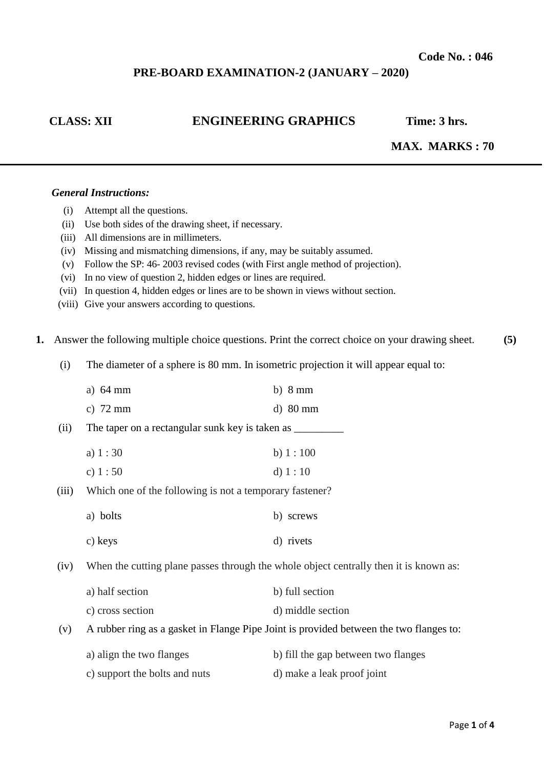## **PRE-BOARD EXAMINATION-2 (JANUARY – 2020)**

# **CLASS: XII ENGINEERING GRAPHICS Time: 3 hrs.**

# **MAX. MARKS : 70**

## *General Instructions:*

- (i) Attempt all the questions.
- (ii) Use both sides of the drawing sheet, if necessary.
- (iii) All dimensions are in millimeters.
- (iv) Missing and mismatching dimensions, if any, may be suitably assumed.
- (v) Follow the SP: 46- 2003 revised codes (with First angle method of projection).
- (vi) In no view of question 2, hidden edges or lines are required.
- (vii) In question 4, hidden edges or lines are to be shown in views without section.
- (viii) Give your answers according to questions.
- **1.** Answer the following multiple choice questions. Print the correct choice on your drawing sheet. **(5)**
	- (i) The diameter of a sphere is 80 mm. In isometric projection it will appear equal to:

|       | a) $64 \text{ mm}$                                                                    | b) $8 \text{ mm}$                                                                      |  |
|-------|---------------------------------------------------------------------------------------|----------------------------------------------------------------------------------------|--|
|       | c) $72 \text{ mm}$                                                                    | $d)$ 80 mm                                                                             |  |
| (ii)  | The taper on a rectangular sunk key is taken as ________                              |                                                                                        |  |
|       | a) $1:30$                                                                             | b) $1:100$                                                                             |  |
|       | c) $1:50$                                                                             | d) $1:10$                                                                              |  |
| (iii) | Which one of the following is not a temporary fastener?                               |                                                                                        |  |
|       | a) bolts                                                                              | b) screws                                                                              |  |
|       | c) keys                                                                               | d) rivets                                                                              |  |
| (iv)  | When the cutting plane passes through the whole object centrally then it is known as: |                                                                                        |  |
|       | a) half section                                                                       | b) full section                                                                        |  |
|       | c) cross section                                                                      | d) middle section                                                                      |  |
| (v)   |                                                                                       | A rubber ring as a gasket in Flange Pipe Joint is provided between the two flanges to: |  |
|       | a) align the two flanges                                                              | b) fill the gap between two flanges                                                    |  |
|       | c) support the bolts and nuts                                                         | d) make a leak proof joint                                                             |  |
|       |                                                                                       |                                                                                        |  |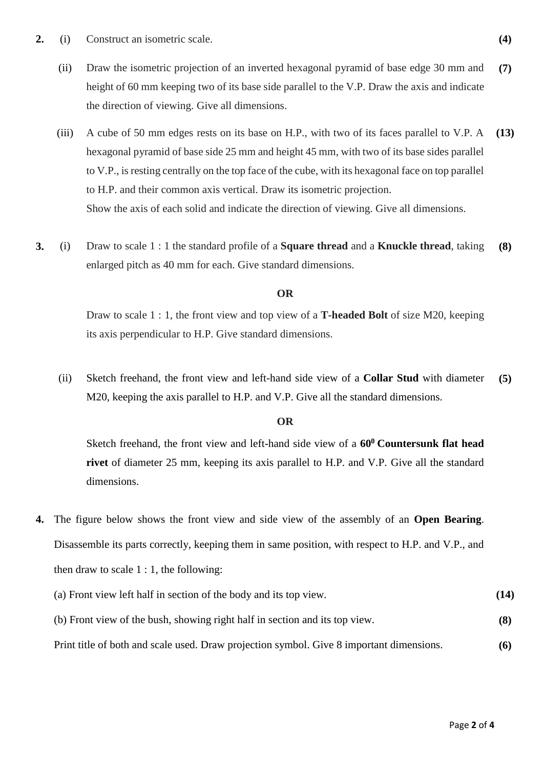- **2.** (i) Construct an isometric scale. **(4)**
	- (ii) Draw the isometric projection of an inverted hexagonal pyramid of base edge 30 mm and height of 60 mm keeping two of its base side parallel to the V.P. Draw the axis and indicate the direction of viewing. Give all dimensions. **(7)**
	- (iii) A cube of 50 mm edges rests on its base on H.P., with two of its faces parallel to V.P. A hexagonal pyramid of base side 25 mm and height 45 mm, with two of its base sides parallel to V.P., is resting centrally on the top face of the cube, with its hexagonal face on top parallel to H.P. and their common axis vertical. Draw its isometric projection. Show the axis of each solid and indicate the direction of viewing. Give all dimensions. **(13)**
- **3.** (i) Draw to scale 1 : 1 the standard profile of a **Square thread** and a **Knuckle thread**, taking enlarged pitch as 40 mm for each. Give standard dimensions. **(8)**

## **OR**

Draw to scale 1 : 1, the front view and top view of a **T-headed Bolt** of size M20, keeping its axis perpendicular to H.P. Give standard dimensions.

(ii) Sketch freehand, the front view and left-hand side view of a **Collar Stud** with diameter M20, keeping the axis parallel to H.P. and V.P. Give all the standard dimensions. **(5)**

### **OR**

Sketch freehand, the front view and left-hand side view of a **60<sup>0</sup>Countersunk flat head rivet** of diameter 25 mm, keeping its axis parallel to H.P. and V.P. Give all the standard dimensions.

**4.** The figure below shows the front view and side view of the assembly of an **Open Bearing**. Disassemble its parts correctly, keeping them in same position, with respect to H.P. and V.P., and then draw to scale  $1:1$ , the following:

| (a) Front view left half in section of the body and its top view.                        | (14) |
|------------------------------------------------------------------------------------------|------|
| (b) Front view of the bush, showing right half in section and its top view.              | (8)  |
| Print title of both and scale used. Draw projection symbol. Give 8 important dimensions. | (6)  |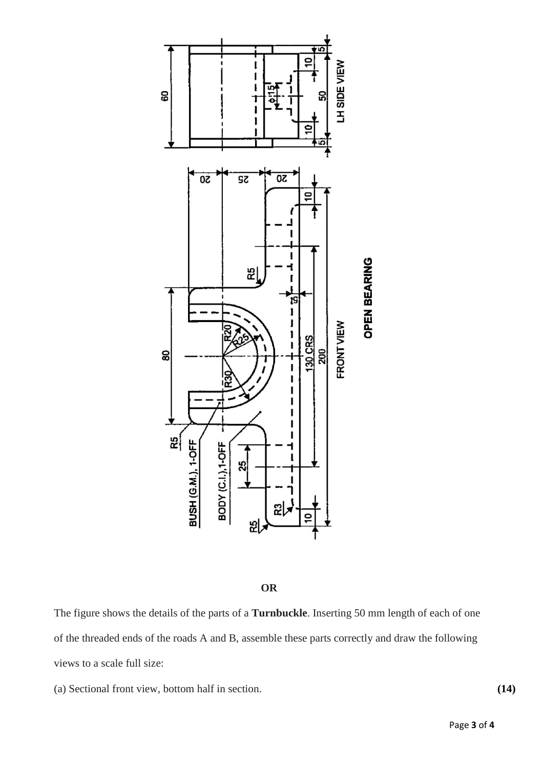



The figure shows the details of the parts of a **Turnbuckle**. Inserting 50 mm length of each of one of the threaded ends of the roads A and B, assemble these parts correctly and draw the following views to a scale full size:

(a) Sectional front view, bottom half in section. **(14)**